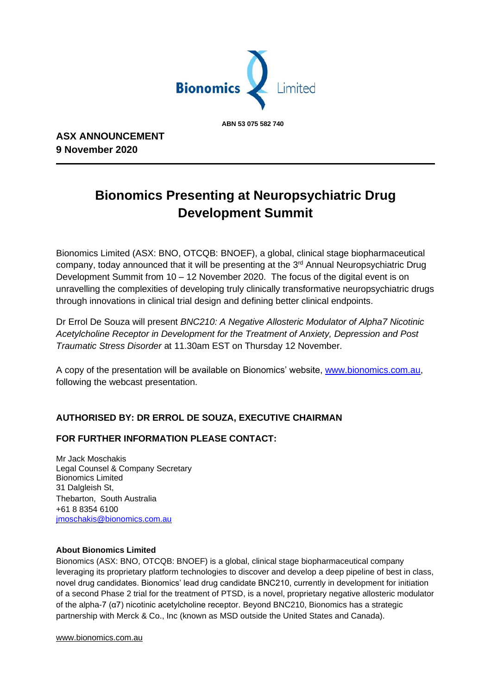

 **ABN 53 075 582 740**

**ASX ANNOUNCEMENT 9 November 2020**

# **Bionomics Presenting at Neuropsychiatric Drug Development Summit**

Bionomics Limited (ASX: BNO, OTCQB: BNOEF), a global, clinical stage biopharmaceutical company, today announced that it will be presenting at the 3<sup>rd</sup> Annual Neuropsychiatric Drug Development Summit from 10 – 12 November 2020. The focus of the digital event is on unravelling the complexities of developing truly clinically transformative neuropsychiatric drugs through innovations in clinical trial design and defining better clinical endpoints.

Dr Errol De Souza will present *BNC210: A Negative Allosteric Modulator of Alpha7 Nicotinic Acetylcholine Receptor in Development for the Treatment of Anxiety, Depression and Post Traumatic Stress Disorder* at 11.30am EST on Thursday 12 November.

A copy of the presentation will be available on Bionomics' website, [www.bionomics.com.au,](http://www.bionomics.com.au/) following the webcast presentation.

## **AUTHORISED BY: DR ERROL DE SOUZA, EXECUTIVE CHAIRMAN**

### **FOR FURTHER INFORMATION PLEASE CONTACT:**

Mr Jack Moschakis Legal Counsel & Company Secretary Bionomics Limited 31 Dalgleish St, Thebarton, South Australia +61 8 8354 6100 [jmoschakis@bionomics.com.au](mailto:jmoschakis@bionomics.com.au)

#### **About Bionomics Limited**

Bionomics (ASX: BNO, OTCQB: BNOEF) is a global, clinical stage biopharmaceutical company leveraging its proprietary platform technologies to discover and develop a deep pipeline of best in class, novel drug candidates. Bionomics' lead drug candidate BNC210, currently in development for initiation of a second Phase 2 trial for the treatment of PTSD, is a novel, proprietary negative allosteric modulator of the alpha-7 (α7) nicotinic acetylcholine receptor. Beyond BNC210, Bionomics has a strategic partnership with Merck & Co., Inc (known as MSD outside the United States and Canada).

[www.bionomics.com.au](http://www.bionomics.com.au/)